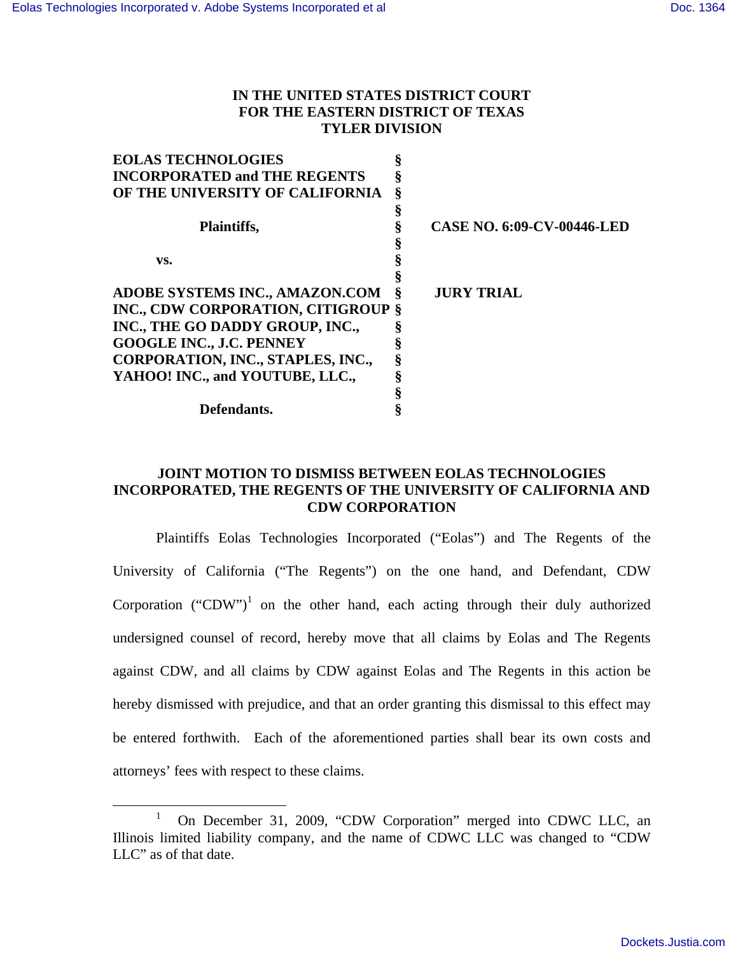### **IN THE UNITED STATES DISTRICT COURT FOR THE EASTERN DISTRICT OF TEXAS TYLER DIVISION**

| <b>EOLAS TECHNOLOGIES</b>                 |   |                                   |
|-------------------------------------------|---|-----------------------------------|
| <b>INCORPORATED and THE REGENTS</b>       |   |                                   |
| OF THE UNIVERSITY OF CALIFORNIA           | ş |                                   |
|                                           |   |                                   |
| Plaintiffs,                               |   | <b>CASE NO. 6:09-CV-00446-LED</b> |
|                                           |   |                                   |
| VS.                                       |   |                                   |
|                                           |   |                                   |
| <b>ADOBE SYSTEMS INC., AMAZON.COM</b>     | Ş | <b>JURY TRIAL</b>                 |
| <b>INC., CDW CORPORATION, CITIGROUP §</b> |   |                                   |
| INC., THE GO DADDY GROUP, INC.,           |   |                                   |
| <b>GOOGLE INC., J.C. PENNEY</b>           |   |                                   |
| CORPORATION, INC., STAPLES, INC.,         |   |                                   |
| YAHOO! INC., and YOUTUBE, LLC.,           |   |                                   |
|                                           |   |                                   |
| Defendants.                               |   |                                   |
|                                           |   |                                   |

## **JOINT MOTION TO DISMISS BETWEEN EOLAS TECHNOLOGIES INCORPORATED, THE REGENTS OF THE UNIVERSITY OF CALIFORNIA AND CDW CORPORATION**

Plaintiffs Eolas Technologies Incorporated ("Eolas") and The Regents of the University of California ("The Regents") on the one hand, and Defendant, CDW Corporation ("CDW")<sup>1</sup> on the other hand, each acting through their duly authorized undersigned counsel of record, hereby move that all claims by Eolas and The Regents against CDW, and all claims by CDW against Eolas and The Regents in this action be hereby dismissed with prejudice, and that an order granting this dismissal to this effect may be entered forthwith. Each of the aforementioned parties shall bear its own costs and attorneys' fees with respect to these claims.

<sup>&</sup>lt;u>1</u> On December 31, 2009, "CDW Corporation" merged into CDWC LLC, an Illinois limited liability company, and the name of CDWC LLC was changed to "CDW LLC" as of that date.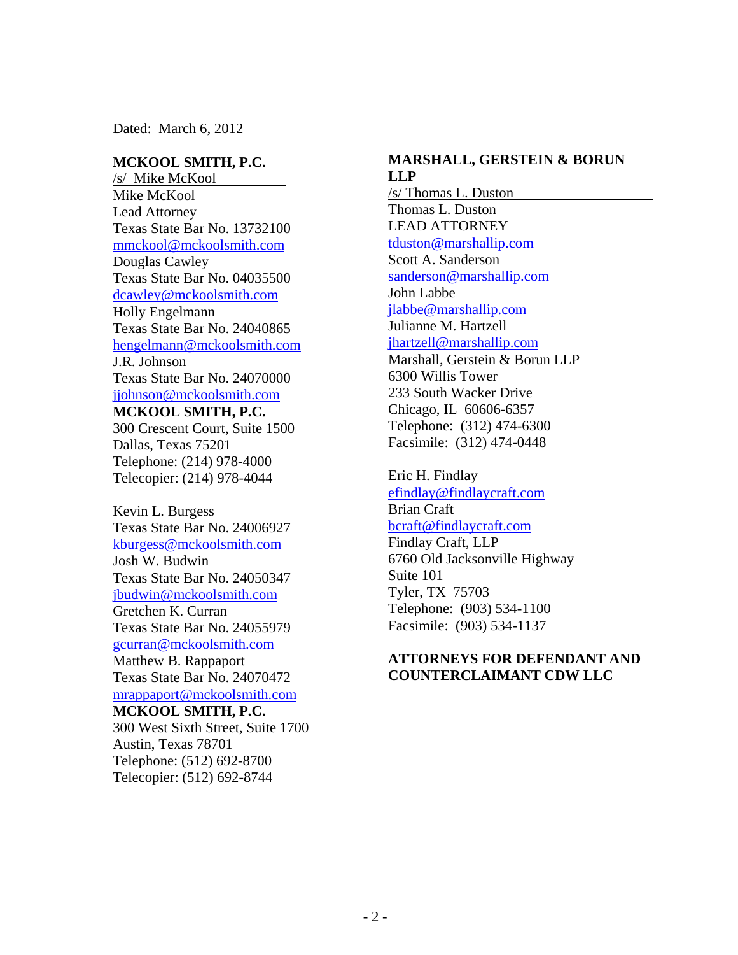Dated: March 6, 2012

#### **MCKOOL SMITH, P.C.**

/s/ Mike McKool Mike McKool Lead Attorney Texas State Bar No. 13732100 mmckool@mckoolsmith.com Douglas Cawley Texas State Bar No. 04035500 dcawley@mckoolsmith.com Holly Engelmann Texas State Bar No. 24040865 hengelmann@mckoolsmith.com J.R. Johnson Texas State Bar No. 24070000 jjohnson@mckoolsmith.com **MCKOOL SMITH, P.C.**  300 Crescent Court, Suite 1500 Dallas, Texas 75201 Telephone: (214) 978-4000 Telecopier: (214) 978-4044

Kevin L. Burgess Texas State Bar No. 24006927 kburgess@mckoolsmith.com Josh W. Budwin Texas State Bar No. 24050347 jbudwin@mckoolsmith.com Gretchen K. Curran Texas State Bar No. 24055979 gcurran@mckoolsmith.com Matthew B. Rappaport Texas State Bar No. 24070472 mrappaport@mckoolsmith.com **MCKOOL SMITH, P.C.**  300 West Sixth Street, Suite 1700

Austin, Texas 78701 Telephone: (512) 692-8700 Telecopier: (512) 692-8744

#### **MARSHALL, GERSTEIN & BORUN LLP**

/s/ Thomas L. Duston Thomas L. Duston LEAD ATTORNEY tduston@marshallip.com Scott A. Sanderson sanderson@marshallip.com John Labbe jlabbe@marshallip.com Julianne M. Hartzell jhartzell@marshallip.com Marshall, Gerstein & Borun LLP 6300 Willis Tower 233 South Wacker Drive Chicago, IL 60606-6357 Telephone: (312) 474-6300 Facsimile: (312) 474-0448

Eric H. Findlay efindlay@findlaycraft.com Brian Craft bcraft@findlaycraft.com Findlay Craft, LLP 6760 Old Jacksonville Highway Suite 101 Tyler, TX 75703 Telephone: (903) 534-1100

Facsimile: (903) 534-1137

### **ATTORNEYS FOR DEFENDANT AND COUNTERCLAIMANT CDW LLC**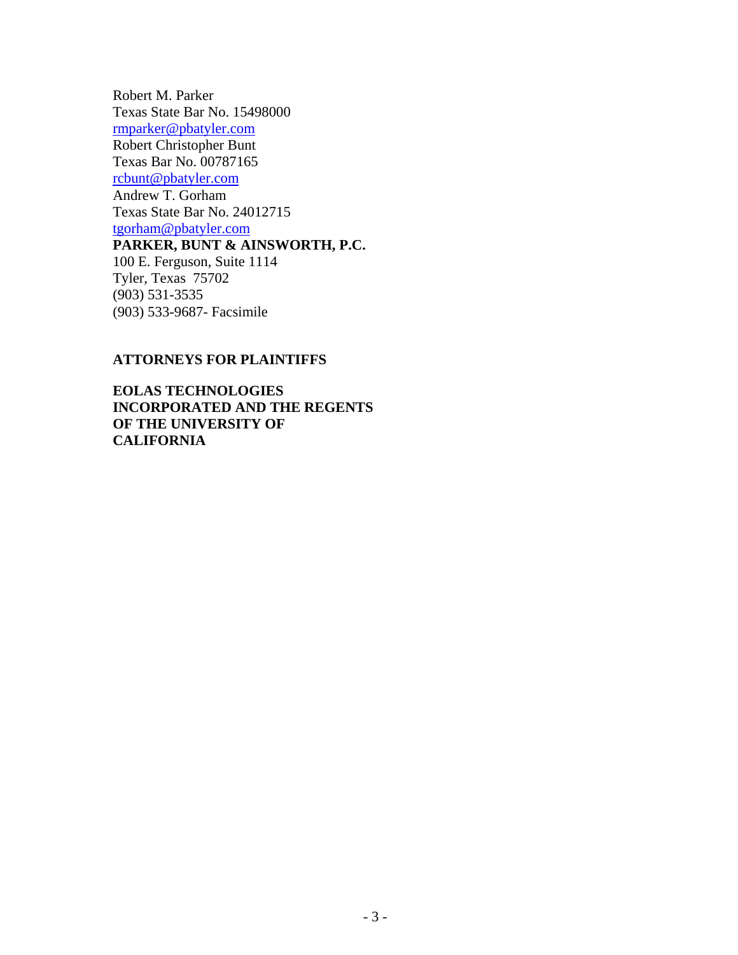Robert M. Parker Texas State Bar No. 15498000 rmparker@pbatyler.com Robert Christopher Bunt Texas Bar No. 00787165 rcbunt@pbatyler.com Andrew T. Gorham Texas State Bar No. 24012715 tgorham@pbatyler.com **PARKER, BUNT & AINSWORTH, P.C.**  100 E. Ferguson, Suite 1114 Tyler, Texas 75702 (903) 531-3535 (903) 533-9687- Facsimile

### **ATTORNEYS FOR PLAINTIFFS**

**EOLAS TECHNOLOGIES INCORPORATED AND THE REGENTS OF THE UNIVERSITY OF CALIFORNIA**